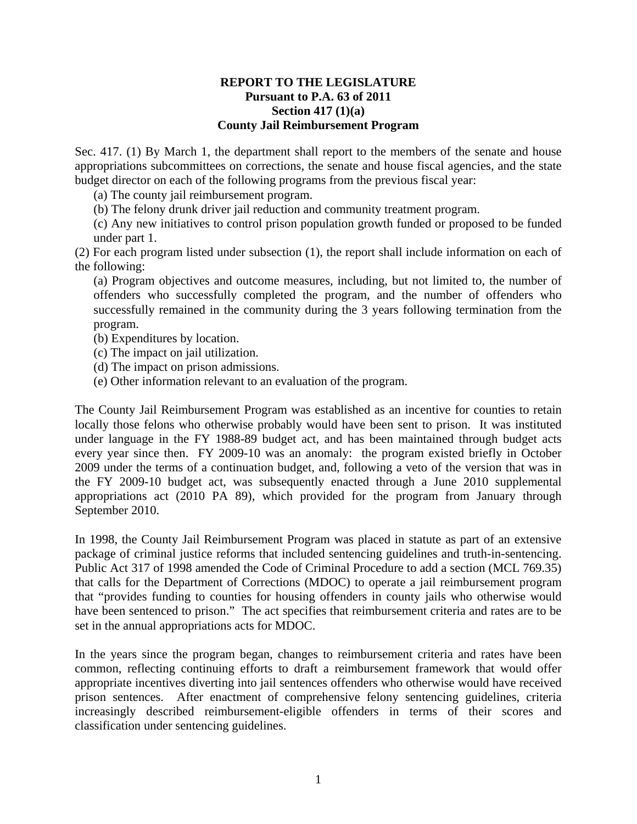## **REPORT TO THE LEGISLATURE Pursuant to P.A. 63 of 2011 Section 417 (1)(a) County Jail Reimbursement Program**

Sec. 417. (1) By March 1, the department shall report to the members of the senate and house appropriations subcommittees on corrections, the senate and house fiscal agencies, and the state budget director on each of the following programs from the previous fiscal year:

- (a) The county jail reimbursement program.
- (b) The felony drunk driver jail reduction and community treatment program.

(c) Any new initiatives to control prison population growth funded or proposed to be funded under part 1.

(2) For each program listed under subsection (1), the report shall include information on each of the following:

(a) Program objectives and outcome measures, including, but not limited to, the number of offenders who successfully completed the program, and the number of offenders who successfully remained in the community during the 3 years following termination from the program.

- (b) Expenditures by location.
- (c) The impact on jail utilization.
- (d) The impact on prison admissions.
- (e) Other information relevant to an evaluation of the program.

The County Jail Reimbursement Program was established as an incentive for counties to retain locally those felons who otherwise probably would have been sent to prison. It was instituted under language in the FY 1988-89 budget act, and has been maintained through budget acts every year since then. FY 2009-10 was an anomaly: the program existed briefly in October 2009 under the terms of a continuation budget, and, following a veto of the version that was in the FY 2009-10 budget act, was subsequently enacted through a June 2010 supplemental appropriations act (2010 PA 89), which provided for the program from January through September 2010.

In 1998, the County Jail Reimbursement Program was placed in statute as part of an extensive package of criminal justice reforms that included sentencing guidelines and truth-in-sentencing. Public Act 317 of 1998 amended the Code of Criminal Procedure to add a section (MCL 769.35) that calls for the Department of Corrections (MDOC) to operate a jail reimbursement program that "provides funding to counties for housing offenders in county jails who otherwise would have been sentenced to prison." The act specifies that reimbursement criteria and rates are to be set in the annual appropriations acts for MDOC.

In the years since the program began, changes to reimbursement criteria and rates have been common, reflecting continuing efforts to draft a reimbursement framework that would offer appropriate incentives diverting into jail sentences offenders who otherwise would have received prison sentences. After enactment of comprehensive felony sentencing guidelines, criteria increasingly described reimbursement-eligible offenders in terms of their scores and classification under sentencing guidelines.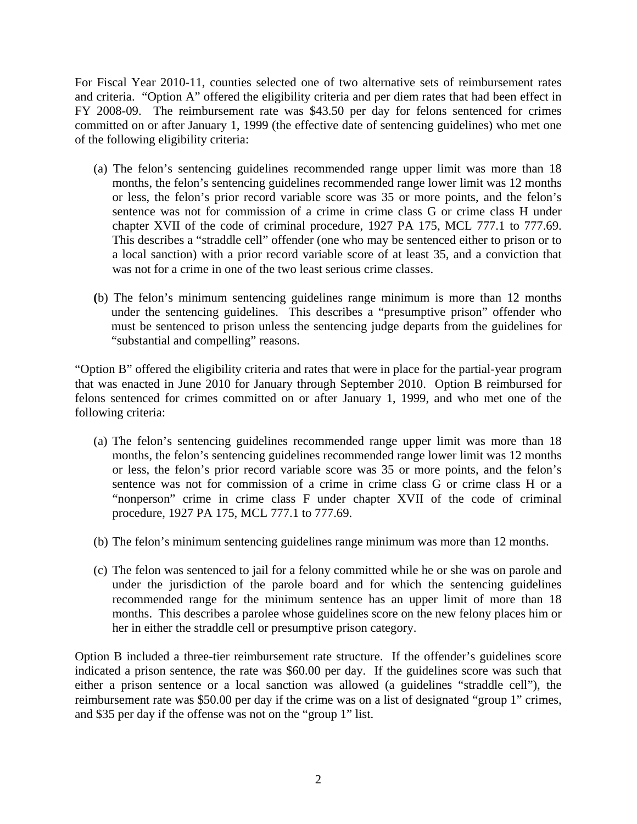For Fiscal Year 2010-11, counties selected one of two alternative sets of reimbursement rates and criteria. "Option A" offered the eligibility criteria and per diem rates that had been effect in FY 2008-09. The reimbursement rate was \$43.50 per day for felons sentenced for crimes committed on or after January 1, 1999 (the effective date of sentencing guidelines) who met one of the following eligibility criteria:

- (a) The felon's sentencing guidelines recommended range upper limit was more than 18 months, the felon's sentencing guidelines recommended range lower limit was 12 months or less, the felon's prior record variable score was 35 or more points, and the felon's sentence was not for commission of a crime in crime class G or crime class H under chapter XVII of the code of criminal procedure, 1927 PA 175, MCL 777.1 to 777.69. This describes a "straddle cell" offender (one who may be sentenced either to prison or to a local sanction) with a prior record variable score of at least 35, and a conviction that was not for a crime in one of the two least serious crime classes.
- **(**b) The felon's minimum sentencing guidelines range minimum is more than 12 months under the sentencing guidelines. This describes a "presumptive prison" offender who must be sentenced to prison unless the sentencing judge departs from the guidelines for "substantial and compelling" reasons.

"Option B" offered the eligibility criteria and rates that were in place for the partial-year program that was enacted in June 2010 for January through September 2010. Option B reimbursed for felons sentenced for crimes committed on or after January 1, 1999, and who met one of the following criteria:

- (a) The felon's sentencing guidelines recommended range upper limit was more than 18 months, the felon's sentencing guidelines recommended range lower limit was 12 months or less, the felon's prior record variable score was 35 or more points, and the felon's sentence was not for commission of a crime in crime class G or crime class H or a "nonperson" crime in crime class F under chapter XVII of the code of criminal procedure, 1927 PA 175, MCL 777.1 to 777.69.
- (b) The felon's minimum sentencing guidelines range minimum was more than 12 months.
- (c) The felon was sentenced to jail for a felony committed while he or she was on parole and under the jurisdiction of the parole board and for which the sentencing guidelines recommended range for the minimum sentence has an upper limit of more than 18 months. This describes a parolee whose guidelines score on the new felony places him or her in either the straddle cell or presumptive prison category.

Option B included a three-tier reimbursement rate structure. If the offender's guidelines score indicated a prison sentence, the rate was \$60.00 per day. If the guidelines score was such that either a prison sentence or a local sanction was allowed (a guidelines "straddle cell"), the reimbursement rate was \$50.00 per day if the crime was on a list of designated "group 1" crimes, and \$35 per day if the offense was not on the "group 1" list.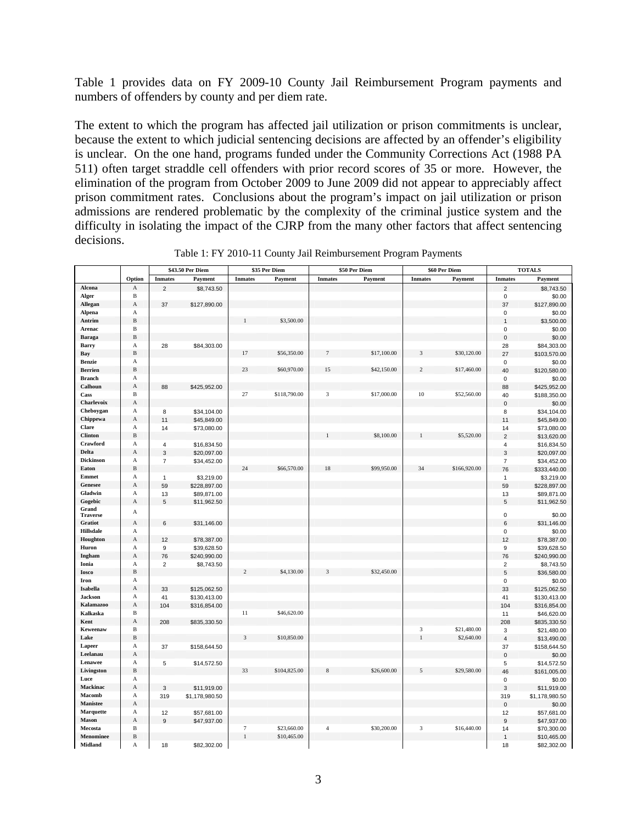Table 1 provides data on FY 2009-10 County Jail Reimbursement Program payments and numbers of offenders by county and per diem rate.

The extent to which the program has affected jail utilization or prison commitments is unclear, because the extent to which judicial sentencing decisions are affected by an offender's eligibility is unclear. On the one hand, programs funded under the Community Corrections Act (1988 PA 511) often target straddle cell offenders with prior record scores of 35 or more. However, the elimination of the program from October 2009 to June 2009 did not appear to appreciably affect prison commitment rates. Conclusions about the program's impact on jail utilization or prison admissions are rendered problematic by the complexity of the criminal justice system and the difficulty in isolating the impact of the CJRP from the many other factors that affect sentencing decisions.

|                  |              |                           | \$43.50 Per Diem |                | \$35 Per Diem |                | \$50 Per Diem |                | \$60 Per Diem | <b>TOTALS</b>             |                |
|------------------|--------------|---------------------------|------------------|----------------|---------------|----------------|---------------|----------------|---------------|---------------------------|----------------|
|                  | Option       | <b>Inmates</b>            | Payment          | <b>Inmates</b> | Payment       | <b>Inmates</b> | Payment       | <b>Inmates</b> | Payment       | <b>Inmates</b>            | Payment        |
| Alcona           | А            | $\overline{2}$            | \$8,743.50       |                |               |                |               |                |               | $\overline{2}$            | \$8,743.50     |
| Alger            | B            |                           |                  |                |               |                |               |                |               | $\pmb{0}$                 | \$0.00         |
| Allegan          | A            | 37                        | \$127,890.00     |                |               |                |               |                |               | 37                        | \$127,890.00   |
| Alpena           | A            |                           |                  |                |               |                |               |                |               | $\pmb{0}$                 | \$0.00         |
| Antrim           | B            |                           |                  |                | \$3,500.00    |                |               |                |               | $\overline{1}$            | \$3,500.00     |
| Arenac           | B            |                           |                  |                |               |                |               |                |               | $\pmb{0}$                 | \$0.00         |
| <b>Baraga</b>    | B            |                           |                  |                |               |                |               |                |               | $\pmb{0}$                 | \$0.00         |
| Barry            | А            | 28                        | \$84,303.00      |                |               |                |               |                |               | 28                        | \$84,303.00    |
| Bay              | $\, {\bf B}$ |                           |                  | 17             | \$56,350.00   |                | \$17,100.00   | 3              | \$30,120.00   | 27                        | \$103,570.00   |
| <b>Benzie</b>    | A            |                           |                  |                |               |                |               |                |               | $\mathbf 0$               | \$0.00         |
| <b>Berrien</b>   | B            |                           |                  | 23             | \$60,970.00   | 15             | \$42,150.00   | $\overline{c}$ | \$17,460.00   | 40                        | \$120,580.00   |
| <b>Branch</b>    | A            |                           |                  |                |               |                |               |                |               | $\pmb{0}$                 | \$0.00         |
| Calhoun          | A            | 88                        | \$425,952.00     |                |               |                |               |                |               | 88                        | \$425,952.00   |
| Cass             | B            |                           |                  | 27             | \$118,790.00  | 3              | \$17,000.00   | 10             | \$52,560.00   | 40                        | \$188,350.00   |
| Charlevoix       | A            |                           |                  |                |               |                |               |                |               | $\pmb{0}$                 | \$0.00         |
| Cheboygan        | А            | 8                         | \$34,104.00      |                |               |                |               |                |               | 8                         | \$34,104.00    |
| Chippewa         | A            | 11                        | \$45,849.00      |                |               |                |               |                |               | 11                        | \$45,849.00    |
| Clare            | A            | 14                        | \$73,080.00      |                |               |                |               |                |               | 14                        | \$73,080.00    |
| <b>Clinton</b>   | B            |                           |                  |                |               |                | \$8,100.00    |                | \$5,520.00    | $\overline{2}$            | \$13,620.00    |
| Crawford         | А            | $\overline{4}$            | \$16,834.50      |                |               |                |               |                |               | $\overline{4}$            | \$16,834.50    |
| Delta            | A            | $\ensuremath{\mathsf{3}}$ | \$20,097.00      |                |               |                |               |                |               | $\sqrt{3}$                | \$20,097.00    |
| <b>Dickinson</b> | А            | $\overline{7}$            | \$34,452.00      |                |               |                |               |                |               | $\overline{7}$            | \$34,452.00    |
| Eaton            | B            |                           |                  | 24             | \$66,570.00   | 18             | \$99,950.00   | 34             | \$166,920.00  | 76                        | \$333,440.00   |
| Emmet            | A            | $\mathbf{1}$              | \$3,219.00       |                |               |                |               |                |               | $\mathbf{1}$              | \$3,219.00     |
| <b>Genesee</b>   | A            | 59                        | \$228,897.00     |                |               |                |               |                |               | 59                        | \$228,897.00   |
| Gladwin          | А            | 13                        | \$89,871.00      |                |               |                |               |                |               | 13                        | \$89,871.00    |
| Gogebic          | $\mathbf A$  | 5                         | \$11,962.50      |                |               |                |               |                |               | 5                         | \$11,962.50    |
| Grand            | A            |                           |                  |                |               |                |               |                |               |                           |                |
| <b>Traverse</b>  |              |                           |                  |                |               |                |               |                |               | $\mathbf 0$               | \$0.00         |
| <b>Gratiot</b>   | А            | 6                         | \$31,146.00      |                |               |                |               |                |               | 6                         | \$31,146.00    |
| <b>Hillsdale</b> | А            |                           |                  |                |               |                |               |                |               | $\pmb{0}$                 | \$0.00         |
| Houghton         | A            | 12                        | \$78,387.00      |                |               |                |               |                |               | 12                        | \$78,387.00    |
| Huron            | A            | 9                         | \$39,628.50      |                |               |                |               |                |               | $\boldsymbol{9}$          | \$39,628.50    |
| Ingham           | A            | 76                        | \$240,990.00     |                |               |                |               |                |               | 76                        | \$240,990.00   |
| Ionia            | A            | $\overline{2}$            | \$8,743.50       |                |               |                |               |                |               | $\sqrt{2}$                | \$8,743.50     |
| <b>Iosco</b>     | B            |                           |                  | $\overline{2}$ | \$4,130.00    | з              | \$32,450.00   |                |               | 5                         | \$36,580.00    |
| Iron             | A            |                           |                  |                |               |                |               |                |               | $\pmb{0}$                 | \$0.00         |
| Isabella         | A            | 33                        | \$125,062.50     |                |               |                |               |                |               | 33                        | \$125,062.50   |
| <b>Jackson</b>   | А            | 41                        | \$130,413.00     |                |               |                |               |                |               | 41                        | \$130,413.00   |
| <b>Kalamazoo</b> | A            | 104                       | \$316,854.00     |                |               |                |               |                |               | 104                       | \$316,854.00   |
| Kalkaska         | $\mathbf B$  |                           |                  | 11             | \$46,620.00   |                |               |                |               | 11                        | \$46,620.00    |
| Kent             | A            | 208                       | \$835,330.50     |                |               |                |               |                |               | 208                       | \$835,330.50   |
| Keweenaw         | B            |                           |                  |                |               |                |               | 3              | \$21,480.00   | 3                         | \$21,480.00    |
| Lake             | B            |                           |                  | 3              | \$10,850.00   |                |               | $\mathbf{1}$   | \$2,640.00    | $\sqrt{4}$                | \$13,490.00    |
| Lapeer           | A            | 37                        | \$158,644.50     |                |               |                |               |                |               | 37                        | \$158,644.50   |
| Leelanau         | А            |                           |                  |                |               |                |               |                |               | $\mathbf 0$               | \$0.00         |
| Lenawee          | A            | 5                         | \$14,572.50      |                |               |                |               |                |               | 5                         | \$14,572.50    |
| Livingston       | B            |                           |                  | 33             | \$104,825.00  | 8              | \$26,600.00   | 5              | \$29,580.00   | 46                        | \$161,005.00   |
| Luce             | А            |                           |                  |                |               |                |               |                |               | $\pmb{0}$                 | \$0.00         |
| Mackinac         | A            | $\mathbf{3}$              | \$11,919.00      |                |               |                |               |                |               | $\ensuremath{\mathsf{3}}$ | \$11,919.00    |
| Macomb           | A            | 319                       | \$1,178,980.50   |                |               |                |               |                |               | 319                       | \$1,178,980.50 |
| <b>Manistee</b>  | А            |                           |                  |                |               |                |               |                |               | $\mathbf 0$               | \$0.00         |
| <b>Marquette</b> | A            | 12                        | \$57,681.00      |                |               |                |               |                |               | 12                        | \$57,681.00    |
| <b>Mason</b>     | A            | 9                         | \$47,937.00      |                |               |                |               |                |               | $9$                       | \$47,937.00    |
| Mecosta          | B            |                           |                  | 7              | \$23,660.00   | $\overline{4}$ | \$30,200.00   | 3              | \$16,440.00   | 14                        | \$70,300.00    |
| Menominee        | B            |                           |                  | $\mathbf{1}$   | \$10,465.00   |                |               |                |               | $\mathbf{1}$              | \$10,465.00    |
| Midland          | А            | 18                        | \$82,302.00      |                |               |                |               |                |               | 18                        | \$82,302.00    |

Table 1: FY 2010-11 County Jail Reimbursement Program Payments